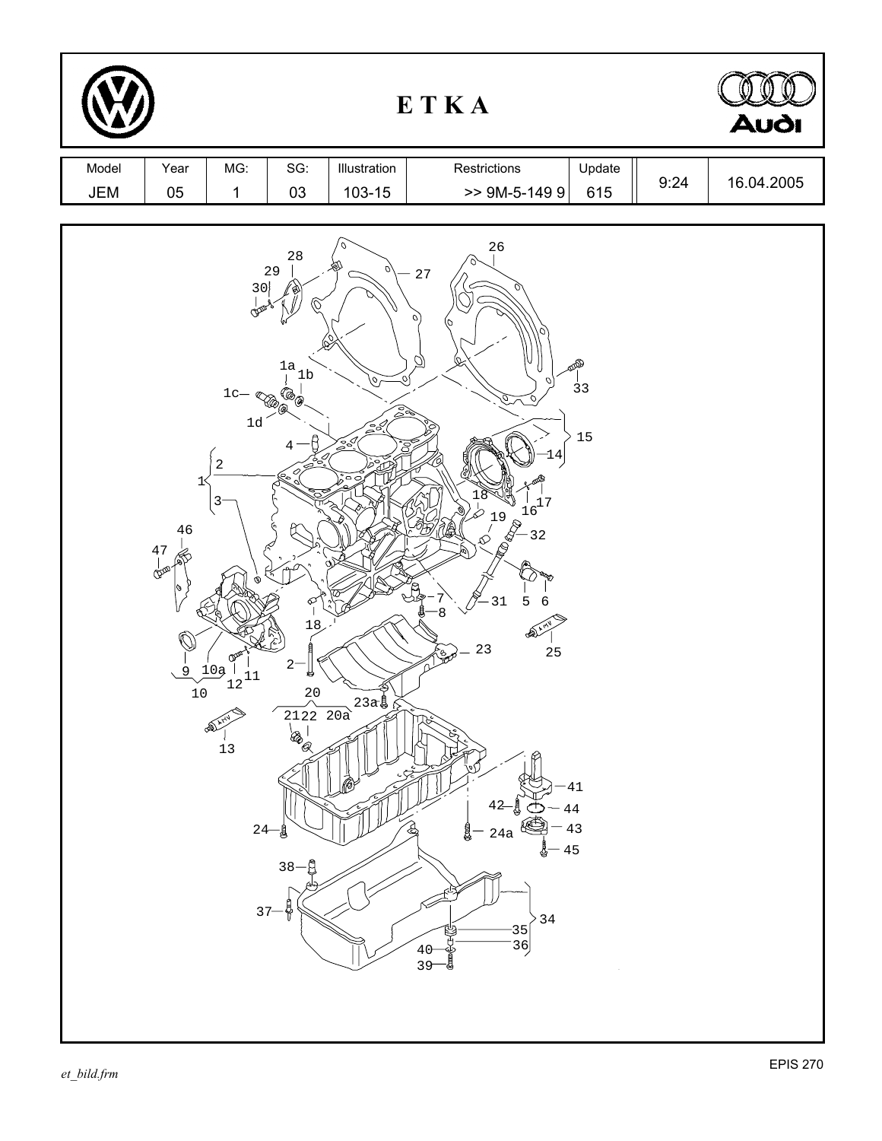|              | <b>Audi</b>                                    |                                                                                                                                   |                                                                                                                        |                                                                                              |                                                                                                                                                                                                                                                                                                                      |      |            |
|--------------|------------------------------------------------|-----------------------------------------------------------------------------------------------------------------------------------|------------------------------------------------------------------------------------------------------------------------|----------------------------------------------------------------------------------------------|----------------------------------------------------------------------------------------------------------------------------------------------------------------------------------------------------------------------------------------------------------------------------------------------------------------------|------|------------|
| Model<br>JEM | Year<br>$05\,$                                 | MG:<br>$\mathbf 1$                                                                                                                | SG:<br>03                                                                                                              | Illustration<br>103-15                                                                       | Restrictions<br>Update<br>$>>$ 9M-5-149 9<br>615                                                                                                                                                                                                                                                                     | 9:24 | 16.04.2005 |
|              | $1<$<br>46<br>$\frac{47}{9}$<br>0<br>9<br>$10$ | 30<br>رمي<br>$1\mathrm{c}-$<br>XR<br>$1d$<br>$\sqrt{2}$<br>3<br>ଙ<br>10 <sub>9</sub><br>$\frac{1}{12}$<br>$13$<br>$24-$<br>$37 -$ | $2\sqrt{8}$<br>29<br>$^{1a}_{\quad \  \, 1b}$<br>D (D)<br><b>ER</b><br>ፍ<br>18<br>$2-$<br>枌<br>20<br>-g<br>$38 -$<br>Å | v<br>$\mathbb{S}^3$<br>$\sum_{j=0}^{n-1}$<br>Ş<br>$\circ$<br>$2122220a$<br>$a$<br>$a$<br>$a$ | 26<br>27<br>$\sigma$<br>10<br>Ō)<br>BRD<br>\् ।<br>$\overline{3}3$<br>O<br>15<br>4<br>8<br>$\frac{1}{16}$<br>3<br>3<br>3<br>4<br>3<br>$19$<br>$(8)$<br>31<br>5<br>6<br>Ļ<br>8<br>≪<br>23<br>$25\,$<br>41<br>44<br>43<br>24a<br>45<br>$3\sqrt{4}$<br>$\begin{bmatrix} 35 \\ 36 \end{bmatrix}$<br>40<br>Çind<br>$39 -$ |      |            |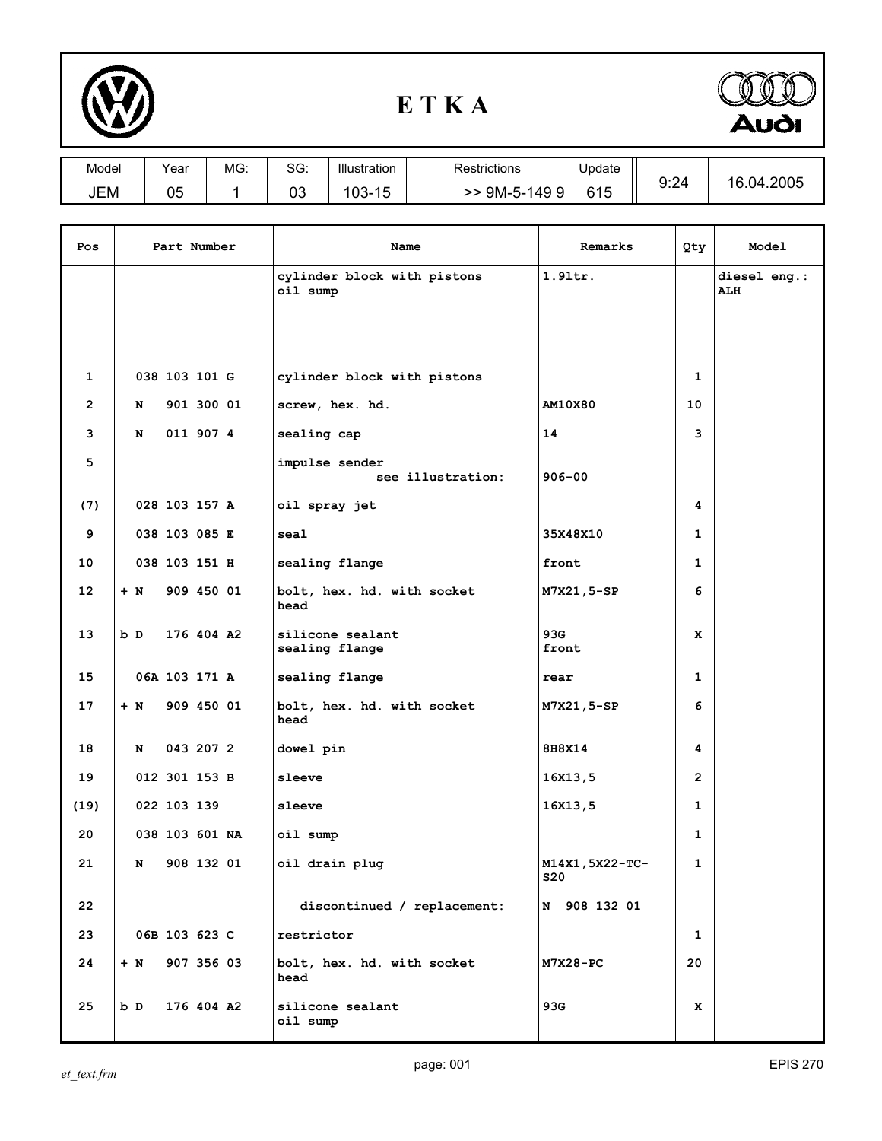

## **E T K A**



| Model | Year     | MG: | $\sim$<br>טכ. | Illustration           | Restrictions        | Update | 9:24 | .04.2005<br>16. |
|-------|----------|-----|---------------|------------------------|---------------------|--------|------|-----------------|
| JEM   | ∩ҕ<br>vu |     | ∩∩<br>U3.     | .1 F<br>$103 -$<br>ں ا | 9M-5-149<br>q<br>>> | 615    |      |                 |
|       |          |     |               |                        |                     |        |      |                 |

| Pos            | Part Number |                |            | Name                                    | Remarks                       | Qty            | Model                |
|----------------|-------------|----------------|------------|-----------------------------------------|-------------------------------|----------------|----------------------|
|                |             |                |            | cylinder block with pistons<br>oil sump | $1.9$ ltr.                    |                | diesel eng.:<br>ALII |
|                |             |                |            |                                         |                               |                |                      |
| 1              |             | 038 103 101 G  |            | cylinder block with pistons             |                               | 1              |                      |
| $\overline{2}$ | N           |                | 901 300 01 | screw, hex. hd.                         | AM10X80                       | 10             |                      |
| 3              | N           |                | 011 907 4  | sealing cap                             | 14                            | 3              |                      |
| 5              |             |                |            | impulse sender<br>see illustration:     | $906 - 00$                    |                |                      |
| (7)            |             | 028 103 157 A  |            | oil spray jet                           |                               | 4              |                      |
| 9              |             | 038 103 085 E  |            | seal                                    | 35X48X10                      | $\mathbf{1}$   |                      |
| 10             |             | 038 103 151 H  |            | sealing flange                          | front                         | $\mathbf{1}$   |                      |
| 12             | $+ N$       |                | 909 450 01 | bolt, hex. hd. with socket<br>head      | M7X21,5-SP                    | 6              |                      |
| 13             | b D         |                | 176 404 A2 | silicone sealant<br>sealing flange      | 93G<br>front                  | x              |                      |
| 15             |             | 06A 103 171 A  |            | sealing flange                          | rear                          | $\mathbf{1}$   |                      |
| 17             | $+ N$       |                | 909 450 01 | bolt, hex. hd. with socket<br>head      | M7X21,5-SP                    | 6              |                      |
| 18             | N           |                | 043 207 2  | dowel pin                               | 8H8X14                        | 4              |                      |
| 19             |             | 012 301 153 B  |            | sleeve                                  | 16X13,5                       | $\overline{2}$ |                      |
| (19)           |             | 022 103 139    |            | sleeve                                  | 16x13,5                       | 1              |                      |
| 20             |             | 038 103 601 NA |            | oil sump                                |                               | 1              |                      |
| 21             | N           |                | 908 132 01 | oil drain plug                          | M14X1, 5X22-TC-<br><b>S20</b> | 1              |                      |
| 22             |             |                |            | discontinued / replacement:             | N 908 132 01                  |                |                      |
| 23             |             | 06B 103 623 C  |            | restrictor                              |                               | $\mathbf{1}$   |                      |
| 24             | $+$ N       |                | 907 356 03 | bolt, hex. hd. with socket<br>head      | M7X28-PC                      | 20             |                      |
| 25             | b D         |                | 176 404 A2 | silicone sealant<br>oil sump            | 93G                           | x              |                      |